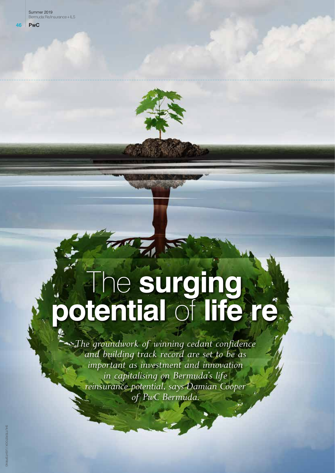

# The **surging potential** of **life re**

*The groundwork of winning cedant confidence and building track record are set to be as important as investment and innovation in capitalising on Bermuda's life reinsurance potential, says Damian Cooper of PwC Bermuda.*